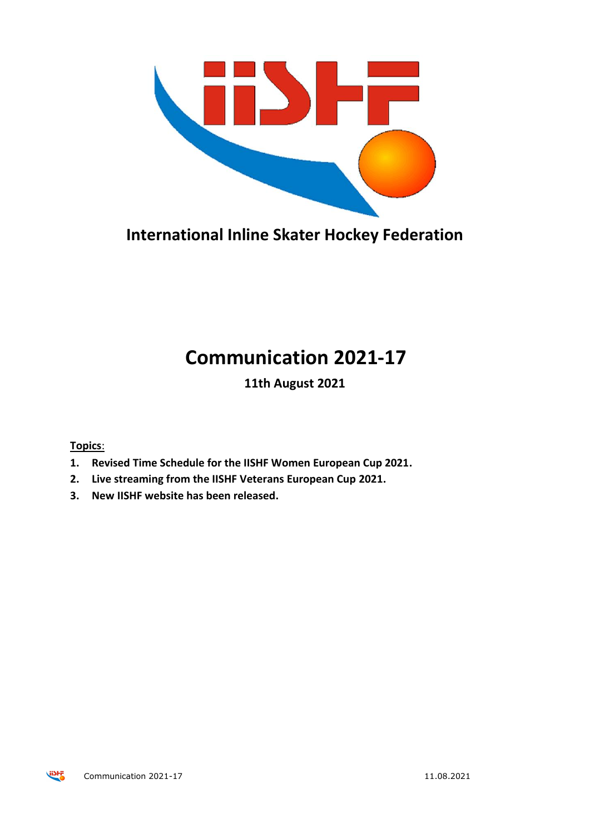

**International Inline Skater Hockey Federation**

## **Communication 2021-17**

**11th August 2021**

**Topics**:

- **1. Revised Time Schedule for the IISHF Women European Cup 2021.**
- **2. Live streaming from the IISHF Veterans European Cup 2021.**
- **3. New IISHF website has been released.**

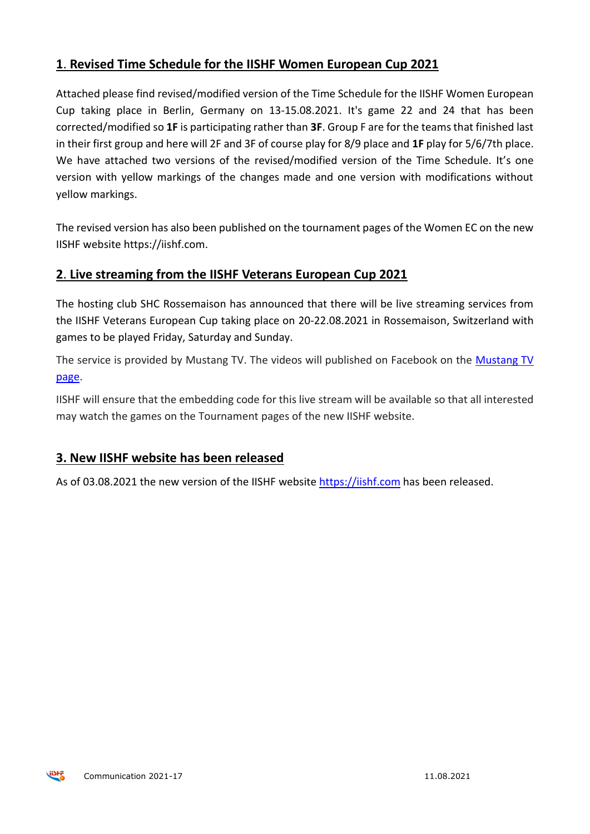## **1**. **Revised Time Schedule for the IISHF Women European Cup 2021**

Attached please find revised/modified version of the Time Schedule for the IISHF Women European Cup taking place in Berlin, Germany on 13-15.08.2021. It's game 22 and 24 that has been corrected/modified so **1F** is participating rather than **3F**. Group F are for the teams that finished last in their first group and here will 2F and 3F of course play for 8/9 place and **1F** play for 5/6/7th place. We have attached two versions of the revised/modified version of the Time Schedule. It's one version with yellow markings of the changes made and one version with modifications without yellow markings.

The revised version has also been published on the tournament pages of the Women EC on the new IISHF website https://iishf.com.

## **2**. **Live streaming from the IISHF Veterans European Cup 2021**

The hosting club SHC Rossemaison has announced that there will be live streaming services from the IISHF Veterans European Cup taking place on 20-22.08.2021 in Rossemaison, Switzerland with games to be played Friday, Saturday and Sunday.

The service is provided by Mustang TV. The videos will published on Facebook on the [Mustang TV](https://www.facebook.com/groups/1127391737292173)  [page.](https://www.facebook.com/groups/1127391737292173)

IISHF will ensure that the embedding code for this live stream will be available so that all interested may watch the games on the Tournament pages of the new IISHF website.

## **3. New IISHF website has been released**

As of 03.08.2021 the new version of the IISHF website [https://iishf.com](https://iishf.com/) has been released.